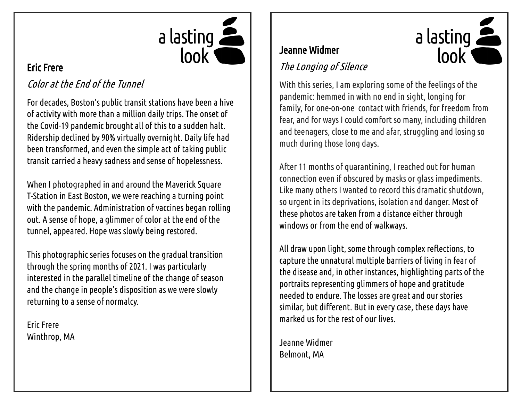

### Eric Frere

## Color at the End of the Tunnel

For decades, Boston's public transit stations have been a hive of activity with more than a million daily trips. The onset of the Covid-19 pandemic brought all of this to a sudden halt. Ridership declined by 90% virtually overnight. Daily life had been transformed, and even the simple act of taking public transit carried a heavy sadness and sense of hopelessness.

When I photographed in and around the Maverick Square T-Station in East Boston, we were reaching a turning point with the pandemic. Administration of vaccines began rolling out. A sense of hope, a glimmer of color at the end of the tunnel, appeared. Hope was slowly being restored.

This photographic series focuses on the gradual transition through the spring months of 2021. I was particularly interested in the parallel timeline of the change of season and the change in people's disposition as we were slowly returning to a sense of normalcy.

Eric Frere Winthrop, MA

## Jeanne Widmer

## The Longing of Silence

With this series, I am exploring some of the feelings of the pandemic: hemmed in with no end in sight, longing for family, for one-on-one contact with friends, for freedom from fear, and for ways I could comfort so many, including children and teenagers, close to me and afar, struggling and losing so much during those long days.

 $\frac{1}{2}$  a lasting

look

After 11 months of quarantining, I reached out for human connection even if obscured by masks or glass impediments. Like many others I wanted to record this dramatic shutdown, so urgent in its deprivations, isolation and danger. Most of these photos are taken from a distance either through windows or from the end of walkways.

All draw upon light, some through complex reflections, to capture the unnatural multiple barriers of living in fear of the disease and, in other instances, highlighting parts of the portraits representing glimmers of hope and gratitude needed to endure. The losses are great and our stories similar, but different. But in every case, these days have marked us for the rest of our lives.

Jeanne Widmer Belmont, MA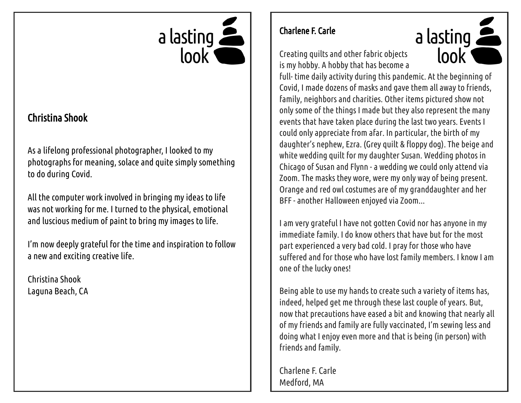

## Christina Shook

As a lifelong professional photographer, I looked to my photographs for meaning, solace and quite simply something to do during Covid.

All the computer work involved in bringing my ideas to life was not working for me. I turned to the physical, emotional and luscious medium of paint to bring my images to life.

I'm now deeply grateful for the time and inspiration to follow a new and exciting creative life.

Christina Shook Laguna Beach, CA

#### Charlene F. Carle

Creating quilts and other fabric objects is my hobby. A hobby that has become a



full- time daily activity during this pandemic. At the beginning of Covid, I made dozens of masks and gave them all away to friends, family, neighbors and charities. Other items pictured show not only some of the things I made but they also represent the many events that have taken place during the last two years. Events I could only appreciate from afar. In particular, the birth of my daughter's nephew, Ezra. (Grey quilt & floppy dog). The beige and white wedding quilt for my daughter Susan. Wedding photos in Chicago of Susan and Flynn - a wedding we could only attend via Zoom. The masks they wore, were my only way of being present. Orange and red owl costumes are of my granddaughter and her BFF - another Halloween enjoyed via Zoom...

I am very grateful I have not gotten Covid nor has anyone in my immediate family. I do know others that have but for the most part experienced a very bad cold. I pray for those who have suffered and for those who have lost family members. I know I am one of the lucky ones!

Being able to use my hands to create such a variety of items has, indeed, helped get me through these last couple of years. But, now that precautions have eased a bit and knowing that nearly all of my friends and family are fully vaccinated, I'm sewing less and doing what I enjoy even more and that is being (in person) with friends and family.

Charlene F. Carle Medford, MA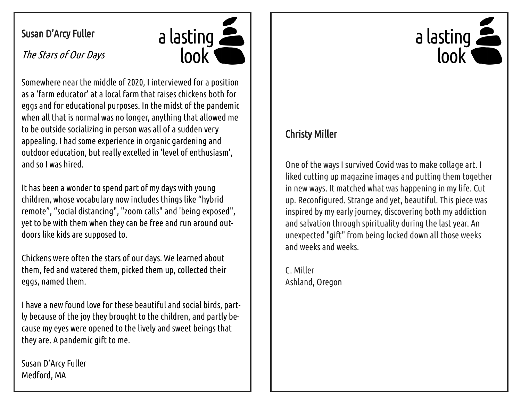## Susan D'Arcy Fuller



The Stars of Our Days

Somewhere near the middle of 2020, I interviewed for a position as a 'farm educator' at a local farm that raises chickens both for eggs and for educational purposes. In the midst of the pandemic when all that is normal was no longer, anything that allowed me to be outside socializing in person was all of a sudden very appealing. I had some experience in organic gardening and outdoor education, but really excelled in 'level of enthusiasm', and so I was hired.

It has been a wonder to spend part of my days with young children, whose vocabulary now includes things like "hybrid remote", "social distancing", "zoom calls" and 'being exposed", yet to be with them when they can be free and run around outdoors like kids are supposed to.

Chickens were often the stars of our days. We learned about them, fed and watered them, picked them up, collected their eggs, named them.

I have a new found love for these beautiful and social birds, partly because of the joy they brought to the children, and partly because my eyes were opened to the lively and sweet beings that they are. A pandemic gift to me.

Susan D'Arcy Fuller Medford, MA

# $\frac{1}{2}$  a lasting lool

## Christy Miller

One of the ways I survived Covid was to make collage art. I liked cutting up magazine images and putting them together in new ways. It matched what was happening in my life. Cut up. Reconfigured. Strange and yet, beautiful. This piece was inspired by my early journey, discovering both my addiction and salvation through spirituality during the last year. An unexpected "gift" from being locked down all those weeks and weeks and weeks.

C. Miller Ashland, Oregon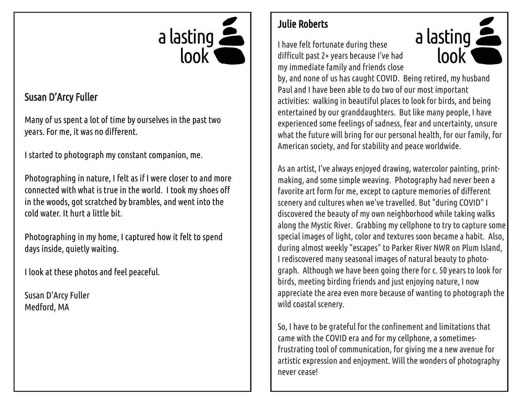

## Susan D'Arcy Fuller

Many of us spent a lot of time by ourselves in the past two years. For me, it was no different.

I started to photograph my constant companion, me.

Photographing in nature, I felt as if I were closer to and more connected with what is true in the world. I took my shoes off in the woods, got scratched by brambles, and went into the cold water. It hurt a little bit.

Photographing in my home, I captured how it felt to spend days inside, quietly waiting.

I look at these photos and feel peaceful.

Susan D'Arcy Fuller Medford, MA

# Julie Roberts

I have felt fortunate during these difficult past 2+ years because I've had my immediate family and friends close



by, and none of us has caught COVID. Being retired, my husband Paul and I have been able to do two of our most important activities: walking in beautiful places to look for birds, and being entertained by our granddaughters. But like many people, I have experienced some feelings of sadness, fear and uncertainty, unsure what the future will bring for our personal health, for our family, for American society, and for stability and peace worldwide.

As an artist, I've always enjoyed drawing, watercolor painting, printmaking, and some simple weaving. Photography had never been a favorite art form for me, except to capture memories of different scenery and cultures when we've travelled. But "during COVID" I discovered the beauty of my own neighborhood while taking walks along the Mystic River. Grabbing my cellphone to try to capture some special images of light, color and textures soon became a habit. Also, during almost weekly "escapes" to Parker River NWR on Plum Island, I rediscovered many seasonal images of natural beauty to photograph. Although we have been going there for c. 50 years to look for birds, meeting birding friends and just enjoying nature, I now appreciate the area even more because of wanting to photograph the wild coastal scenery.

So, I have to be grateful for the confinement and limitations that came with the COVID era and for my cellphone, a sometimesfrustrating tool of communication, for giving me a new avenue for artistic expression and enjoyment. Will the wonders of photography never cease!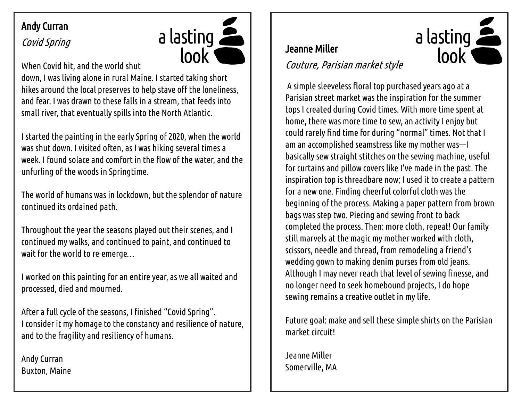# Andy Curran

# Covid Spring



When Covid hit, and the world shut

down, I was living alone in rural Maine. I started taking short hikes around the local preserves to help stave off the loneliness, and fear. I was drawn to these falls in a stream, that feeds into small river, that eventually spills into the North Atlantic.

I started the painting in the early Spring of 2020, when the world was shut down. I visited often, as I was hiking several times a week. I found solace and comfort in the flow of the water, and the unfurling of the woods in Springtime.

The world of humans was in lockdown, but the splendor of nature continued its ordained path.

Throughout the year the seasons played out their scenes, and I continued my walks, and continued to paint, and continued to wait for the world to re-emerge…

I worked on this painting for an entire year, as we all waited and processed, died and mourned.

After a full cycle of the seasons, I finished "Covid Spring". I consider it my homage to the constancy and resilience of nature, and to the fragility and resiliency of humans.

Andy Curran Buxton, Maine

## Jeanne Miller

### Couture, Parisian market style

A simple sleeveless floral top purchased years ago at a Parisian street market was the inspiration for the summer tops I created during Covid times. With more time spent at home, there was more time to sew, an activity I enjoy but could rarely find time for during "normal" times. Not that I am an accomplished seamstress like my mother was—I basically sew straight stitches on the sewing machine, useful for curtains and pillow covers like I've made in the past. The inspiration top is threadbare now; I used it to create a pattern for a new one. Finding cheerful colorful cloth was the beginning of the process. Making a paper pattern from brown bags was step two. Piecing and sewing front to back completed the process. Then: more cloth, repeat! Our family still marvels at the magic my mother worked with cloth, scissors, needle and thread, from remodeling a friend's wedding gown to making denim purses from old jeans. Although I may never reach that level of sewing finesse, and no longer need to seek homebound projects, I do hope sewing remains a creative outlet in my life.

 $\frac{1}{2}$  a lasting

look

Future goal: make and sell these simple shirts on the Parisian market circuit!

Jeanne Miller Somerville, MA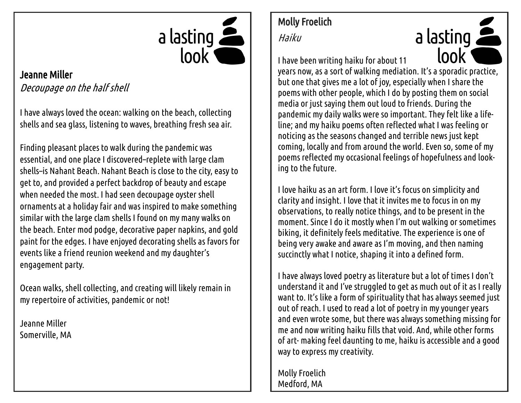

#### Jeanne Miller Decoupage on the half shell

I have always loved the ocean: walking on the beach, collecting shells and sea glass, listening to waves, breathing fresh sea air.

Finding pleasant places to walk during the pandemic was essential, and one place I discovered–replete with large clam shells–is Nahant Beach. Nahant Beach is close to the city, easy to get to, and provided a perfect backdrop of beauty and escape when needed the most. I had seen decoupage oyster shell ornaments at a holiday fair and was inspired to make something similar with the large clam shells I found on my many walks on the beach. Enter mod podge, decorative paper napkins, and gold paint for the edges. I have enjoyed decorating shells as favors for events like a friend reunion weekend and my daughter's engagement party.

Ocean walks, shell collecting, and creating will likely remain in my repertoire of activities, pandemic or not!

Jeanne Miller Somerville, MA

# Molly Froelich

Haiku

a lasting lool I have been writing haiku for about 11 years now, as a sort of walking mediation. It's a sporadic practice, but one that gives me a lot of joy, especially when I share the poems with other people, which I do by posting them on social media or just saying them out loud to friends. During the pandemic my daily walks were so important. They felt like a lifeline; and my haiku poems often reflected what I was feeling or noticing as the seasons changed and terrible news just kept coming, locally and from around the world. Even so, some of my poems reflected my occasional feelings of hopefulness and looking to the future.

I love haiku as an art form. I love it's focus on simplicity and clarity and insight. I love that it invites me to focus in on my observations, to really notice things, and to be present in the moment. Since I do it mostly when I'm out walking or sometimes biking, it definitely feels meditative. The experience is one of being very awake and aware as I'm moving, and then naming succinctly what I notice, shaping it into a defined form.

I have always loved poetry as literature but a lot of times I don't understand it and I've struggled to get as much out of it as I really want to. It's like a form of spirituality that has always seemed just out of reach. I used to read a lot of poetry in my younger years and even wrote some, but there was always something missing for me and now writing haiku fills that void. And, while other forms of art- making feel daunting to me, haiku is accessible and a good way to express my creativity.

Molly Froelich Medford, MA